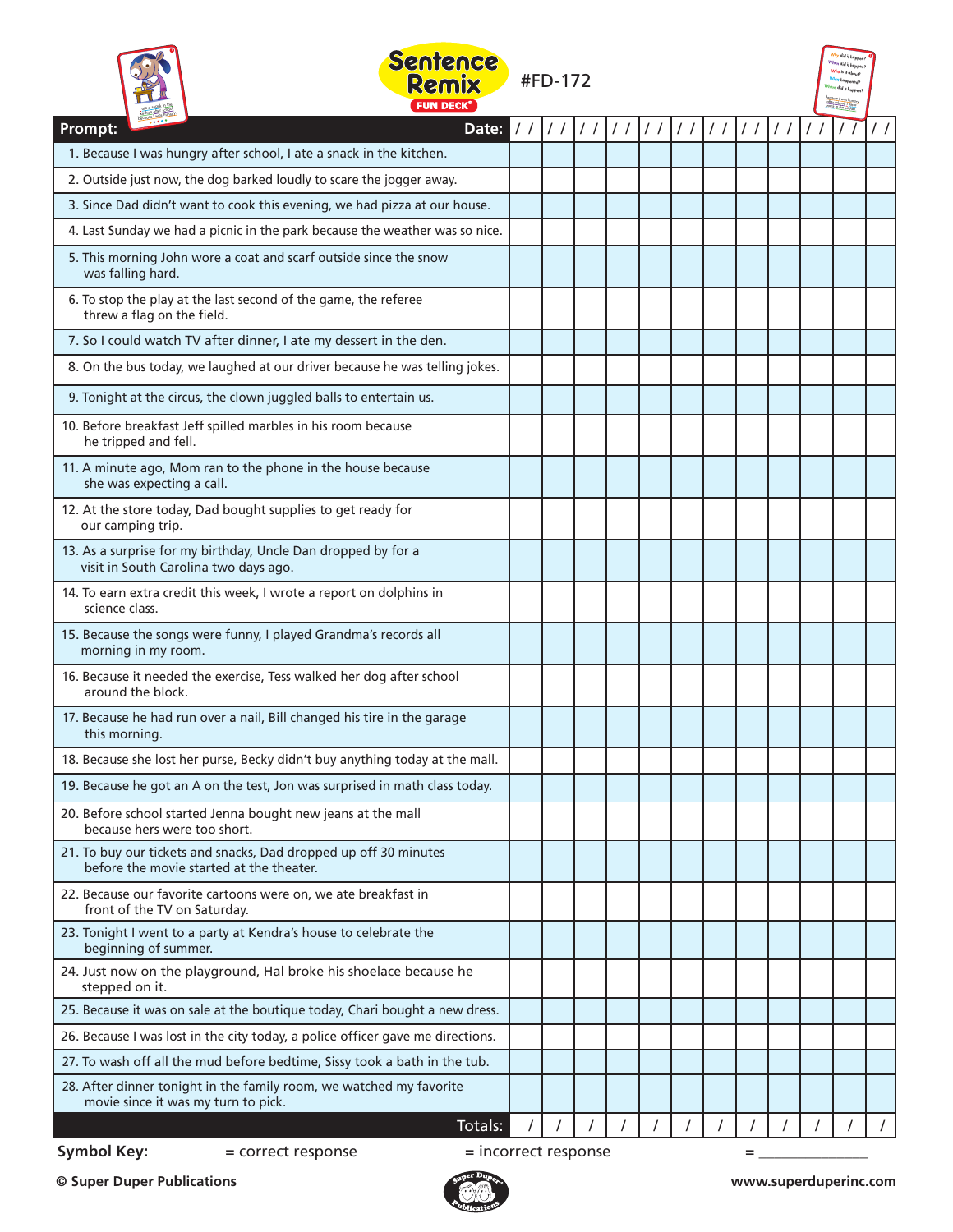



| Remix<br><b>FUN DECK</b>                                                                                     | #FD-172       |               |                   |      |  |               |                   |               |               | , did it happe<br><b>Star Ichool</b> Lake |               |  |
|--------------------------------------------------------------------------------------------------------------|---------------|---------------|-------------------|------|--|---------------|-------------------|---------------|---------------|-------------------------------------------|---------------|--|
| Prompt:<br>Date:                                                                                             | $\frac{1}{2}$ | $\frac{1}{2}$ | $\vert$ / $\vert$ | 1111 |  | $\frac{1}{2}$ | $\vert$ / $\vert$ | $\frac{1}{2}$ | $\frac{1}{2}$ |                                           | $\frac{1}{2}$ |  |
| 1. Because I was hungry after school, I ate a snack in the kitchen.                                          |               |               |                   |      |  |               |                   |               |               |                                           |               |  |
| 2. Outside just now, the dog barked loudly to scare the jogger away.                                         |               |               |                   |      |  |               |                   |               |               |                                           |               |  |
| 3. Since Dad didn't want to cook this evening, we had pizza at our house.                                    |               |               |                   |      |  |               |                   |               |               |                                           |               |  |
| 4. Last Sunday we had a picnic in the park because the weather was so nice.                                  |               |               |                   |      |  |               |                   |               |               |                                           |               |  |
| 5. This morning John wore a coat and scarf outside since the snow<br>was falling hard.                       |               |               |                   |      |  |               |                   |               |               |                                           |               |  |
| 6. To stop the play at the last second of the game, the referee<br>threw a flag on the field.                |               |               |                   |      |  |               |                   |               |               |                                           |               |  |
| 7. So I could watch TV after dinner, I ate my dessert in the den.                                            |               |               |                   |      |  |               |                   |               |               |                                           |               |  |
| 8. On the bus today, we laughed at our driver because he was telling jokes.                                  |               |               |                   |      |  |               |                   |               |               |                                           |               |  |
| 9. Tonight at the circus, the clown juggled balls to entertain us.                                           |               |               |                   |      |  |               |                   |               |               |                                           |               |  |
| 10. Before breakfast Jeff spilled marbles in his room because<br>he tripped and fell.                        |               |               |                   |      |  |               |                   |               |               |                                           |               |  |
| 11. A minute ago, Mom ran to the phone in the house because<br>she was expecting a call.                     |               |               |                   |      |  |               |                   |               |               |                                           |               |  |
| 12. At the store today, Dad bought supplies to get ready for<br>our camping trip.                            |               |               |                   |      |  |               |                   |               |               |                                           |               |  |
| 13. As a surprise for my birthday, Uncle Dan dropped by for a<br>visit in South Carolina two days ago.       |               |               |                   |      |  |               |                   |               |               |                                           |               |  |
| 14. To earn extra credit this week, I wrote a report on dolphins in<br>science class.                        |               |               |                   |      |  |               |                   |               |               |                                           |               |  |
| 15. Because the songs were funny, I played Grandma's records all<br>morning in my room.                      |               |               |                   |      |  |               |                   |               |               |                                           |               |  |
| 16. Because it needed the exercise, Tess walked her dog after school<br>around the block.                    |               |               |                   |      |  |               |                   |               |               |                                           |               |  |
| 17. Because he had run over a nail, Bill changed his tire in the garage<br>this morning.                     |               |               |                   |      |  |               |                   |               |               |                                           |               |  |
| 18. Because she lost her purse, Becky didn't buy anything today at the mall.                                 |               |               |                   |      |  |               |                   |               |               |                                           |               |  |
| 19. Because he got an A on the test, Jon was surprised in math class today.                                  |               |               |                   |      |  |               |                   |               |               |                                           |               |  |
| 20. Before school started Jenna bought new jeans at the mall<br>because hers were too short.                 |               |               |                   |      |  |               |                   |               |               |                                           |               |  |
| 21. To buy our tickets and snacks, Dad dropped up off 30 minutes<br>before the movie started at the theater. |               |               |                   |      |  |               |                   |               |               |                                           |               |  |
| 22. Because our favorite cartoons were on, we ate breakfast in<br>front of the TV on Saturday.               |               |               |                   |      |  |               |                   |               |               |                                           |               |  |
| 23. Tonight I went to a party at Kendra's house to celebrate the<br>beginning of summer.                     |               |               |                   |      |  |               |                   |               |               |                                           |               |  |
| 24. Just now on the playground, Hal broke his shoelace because he<br>stepped on it.                          |               |               |                   |      |  |               |                   |               |               |                                           |               |  |
| 25. Because it was on sale at the boutique today, Chari bought a new dress.                                  |               |               |                   |      |  |               |                   |               |               |                                           |               |  |
| 26. Because I was lost in the city today, a police officer gave me directions.                               |               |               |                   |      |  |               |                   |               |               |                                           |               |  |
| 27. To wash off all the mud before bedtime, Sissy took a bath in the tub.                                    |               |               |                   |      |  |               |                   |               |               |                                           |               |  |
| 28. After dinner tonight in the family room, we watched my favorite<br>movie since it was my turn to pick.   |               |               |                   |      |  |               |                   |               |               |                                           |               |  |

Symbol Key:  $=$  correct response  $=$  incorrect response  $=$ 

Totals: / / / / / / / / / / /

Why did it happen? When did it happen?

**© Super Duper Publications www.superduperinc.com**

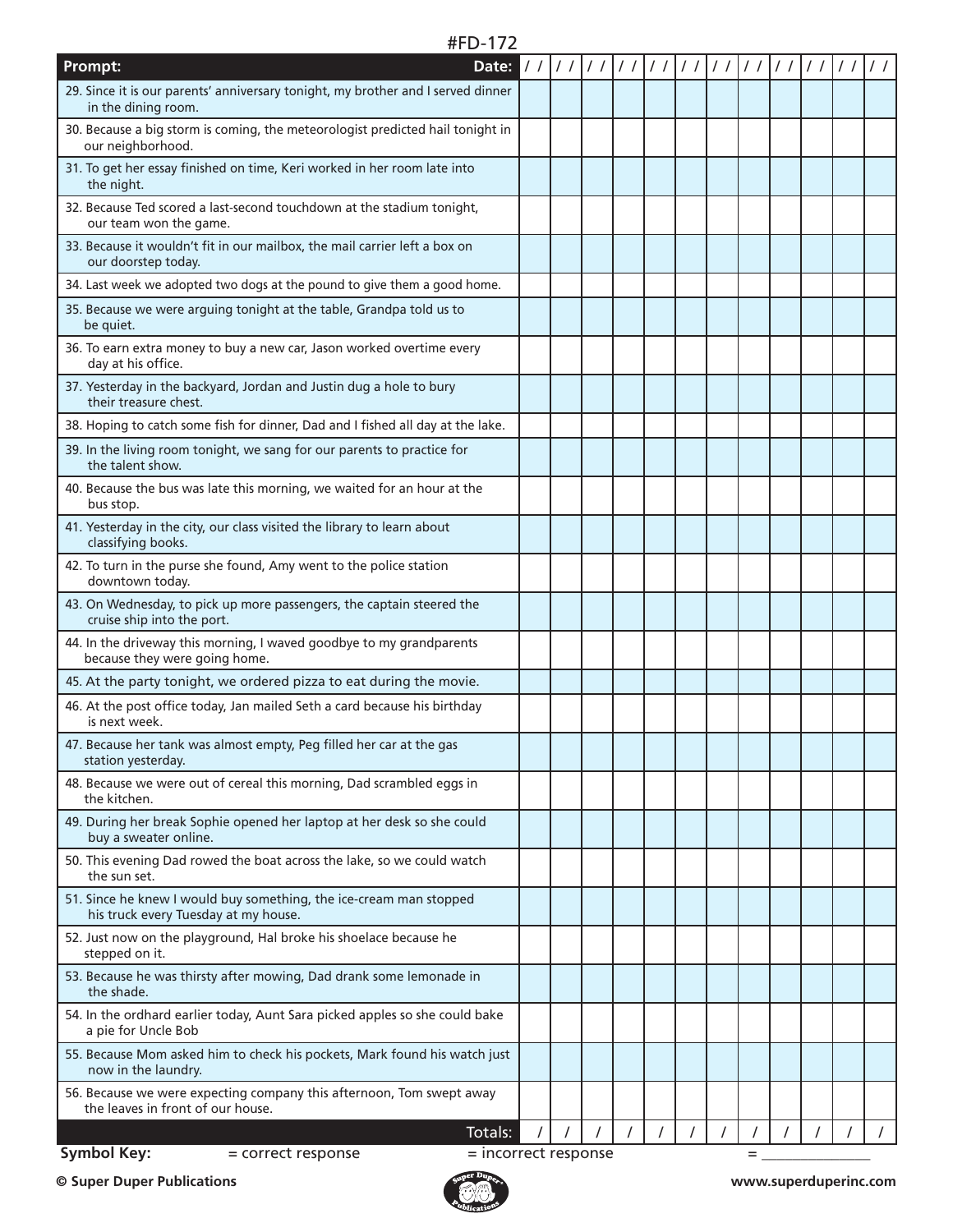## #FD-172

| Prompt:<br>Date:                                                                                           | $\frac{1}{2}$ | $\frac{1}{\sqrt{2}}$ | 111111 | $\frac{1}{\sqrt{2}}$ | I |   | 111111 | $\frac{1}{2}$ |  |
|------------------------------------------------------------------------------------------------------------|---------------|----------------------|--------|----------------------|---|---|--------|---------------|--|
| 29. Since it is our parents' anniversary tonight, my brother and I served dinner<br>in the dining room.    |               |                      |        |                      |   |   |        |               |  |
| 30. Because a big storm is coming, the meteorologist predicted hail tonight in<br>our neighborhood.        |               |                      |        |                      |   |   |        |               |  |
| 31. To get her essay finished on time, Keri worked in her room late into<br>the night.                     |               |                      |        |                      |   |   |        |               |  |
| 32. Because Ted scored a last-second touchdown at the stadium tonight,<br>our team won the game.           |               |                      |        |                      |   |   |        |               |  |
| 33. Because it wouldn't fit in our mailbox, the mail carrier left a box on<br>our doorstep today.          |               |                      |        |                      |   |   |        |               |  |
| 34. Last week we adopted two dogs at the pound to give them a good home.                                   |               |                      |        |                      |   |   |        |               |  |
| 35. Because we were arguing tonight at the table, Grandpa told us to<br>be quiet.                          |               |                      |        |                      |   |   |        |               |  |
| 36. To earn extra money to buy a new car, Jason worked overtime every<br>day at his office.                |               |                      |        |                      |   |   |        |               |  |
| 37. Yesterday in the backyard, Jordan and Justin dug a hole to bury<br>their treasure chest.               |               |                      |        |                      |   |   |        |               |  |
| 38. Hoping to catch some fish for dinner, Dad and I fished all day at the lake.                            |               |                      |        |                      |   |   |        |               |  |
| 39. In the living room tonight, we sang for our parents to practice for<br>the talent show.                |               |                      |        |                      |   |   |        |               |  |
| 40. Because the bus was late this morning, we waited for an hour at the<br>bus stop.                       |               |                      |        |                      |   |   |        |               |  |
| 41. Yesterday in the city, our class visited the library to learn about<br>classifying books.              |               |                      |        |                      |   |   |        |               |  |
| 42. To turn in the purse she found, Amy went to the police station<br>downtown today.                      |               |                      |        |                      |   |   |        |               |  |
| 43. On Wednesday, to pick up more passengers, the captain steered the<br>cruise ship into the port.        |               |                      |        |                      |   |   |        |               |  |
| 44. In the driveway this morning, I waved goodbye to my grandparents<br>because they were going home.      |               |                      |        |                      |   |   |        |               |  |
| 45. At the party tonight, we ordered pizza to eat during the movie.                                        |               |                      |        |                      |   |   |        |               |  |
| 46. At the post office today, Jan mailed Seth a card because his birthday<br>is next week.                 |               |                      |        |                      |   |   |        |               |  |
| 47. Because her tank was almost empty, Peg filled her car at the gas<br>station yesterday.                 |               |                      |        |                      |   |   |        |               |  |
| 48. Because we were out of cereal this morning, Dad scrambled eggs in<br>the kitchen.                      |               |                      |        |                      |   |   |        |               |  |
| 49. During her break Sophie opened her laptop at her desk so she could<br>buy a sweater online.            |               |                      |        |                      |   |   |        |               |  |
| 50. This evening Dad rowed the boat across the lake, so we could watch<br>the sun set.                     |               |                      |        |                      |   |   |        |               |  |
| 51. Since he knew I would buy something, the ice-cream man stopped<br>his truck every Tuesday at my house. |               |                      |        |                      |   |   |        |               |  |
| 52. Just now on the playground, Hal broke his shoelace because he<br>stepped on it.                        |               |                      |        |                      |   |   |        |               |  |
| 53. Because he was thirsty after mowing, Dad drank some lemonade in<br>the shade.                          |               |                      |        |                      |   |   |        |               |  |
| 54. In the ordhard earlier today, Aunt Sara picked apples so she could bake<br>a pie for Uncle Bob         |               |                      |        |                      |   |   |        |               |  |
| 55. Because Mom asked him to check his pockets, Mark found his watch just<br>now in the laundry.           |               |                      |        |                      |   |   |        |               |  |
| 56. Because we were expecting company this afternoon, Tom swept away<br>the leaves in front of our house.  |               |                      |        |                      |   |   |        |               |  |
| Totals:                                                                                                    |               |                      |        |                      |   |   |        |               |  |
| <b>Symbol Key:</b><br>= incorrect response<br>= correct response                                           |               |                      |        |                      |   | = |        |               |  |